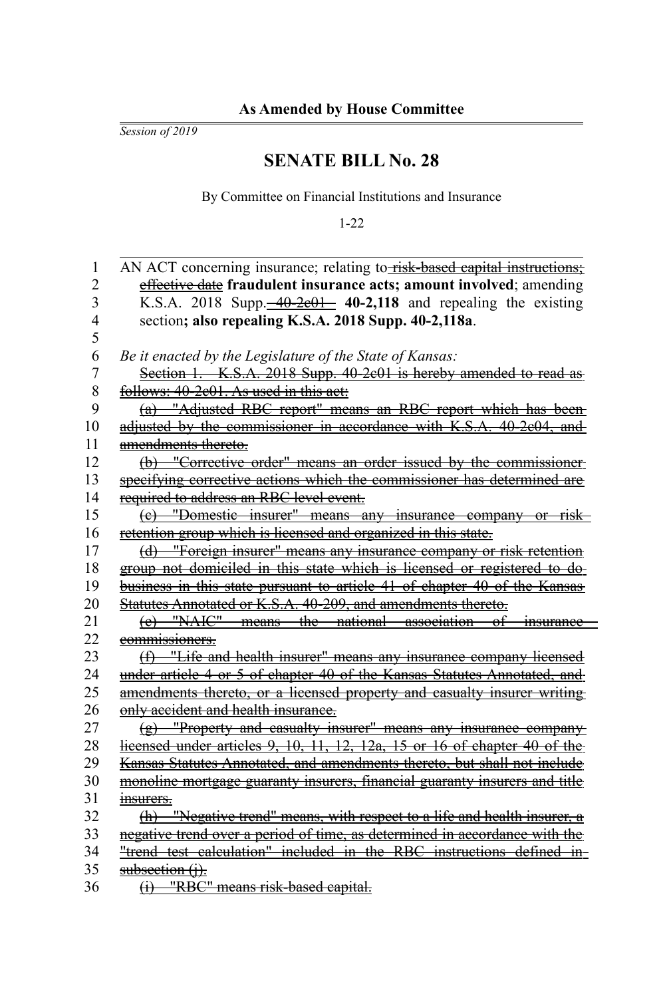*Session of 2019*

## **SENATE BILL No. 28**

By Committee on Financial Institutions and Insurance

1-22

| 1              | AN ACT concerning insurance; relating to-risk-based capital instructions;              |
|----------------|----------------------------------------------------------------------------------------|
| $\overline{2}$ | effective date fraudulent insurance acts; amount involved; amending                    |
| 3              | K.S.A. 2018 Supp. $\frac{-40-2e01}{-40-2e01}$ 40-2,118 and repealing the existing      |
| 4              | section; also repealing K.S.A. 2018 Supp. 40-2,118a.                                   |
| 5              |                                                                                        |
| 6              | Be it enacted by the Legislature of the State of Kansas:                               |
| 7              | Section 1. K.S.A. 2018 Supp. 40-2c01 is hereby amended to read as                      |
| 8              | follows: 40-2e01. As used in this act:                                                 |
| 9              | (a) "Adjusted RBC report" means an RBC report which has been-                          |
| 10             | adjusted by the commissioner in accordance with K.S.A. 40-2c04, and                    |
| 11             | amendments thereto.                                                                    |
| 12             | (b) "Corrective order" means an order issued by the commissioner-                      |
| 13             | specifying corrective actions which the commissioner has determined are                |
| 14             | required to address an RBC level event.                                                |
| 15             | (e) "Domestic insurer" means any insurance company or risk                             |
| 16             | retention group which is licensed and organized in this state.                         |
| 17             | (d) "Foreign insurer" means any insurance company or risk retention                    |
| 18             | group not domiciled in this state which is licensed or registered to do-               |
| 19             | business in this state pursuant to article 41 of chapter 40 of the Kansas              |
| 20             | Statutes Annotated or K.S.A. 40-209, and amendments thereto.                           |
| 21             | (e) "NAIC" means the national association of<br><i>insurance</i>                       |
| 22             | commissioners.                                                                         |
| 23             | (f) "Life and health insurer" means any insurance company licensed                     |
| 24             | under article 4 or 5 of chapter 40 of the Kansas Statutes Annotated, and               |
| 25             | amendments thereto, or a licensed property and casualty insurer writing                |
| 26             | only accident and health insurance.                                                    |
| 27             | $(g)$ "Property and casualty insurer" means any insurance company-                     |
| 28             | $\frac{1}{2}$ icensed under articles 9, 10, 11, 12, 12a, 15 or 16 of chapter 40 of the |
| 29             | Kansas Statutes Annotated, and amendments thereto, but shall not include               |
| 30             | monoline mortgage guaranty insurers, financial guaranty insurers and title             |
| 31             | <del>msurers.</del>                                                                    |
| 32             | (h) "Negative trend" means, with respect to a life and health insurer, a               |
| 33             | negative trend over a period of time, as determined in accordance with the             |
| 34             | "trend test calculation" included in the RBC instructions defined in-                  |
| 35             | $subsection (i)$ .                                                                     |
| 36             | (i) "RBC" means risk-based capital.                                                    |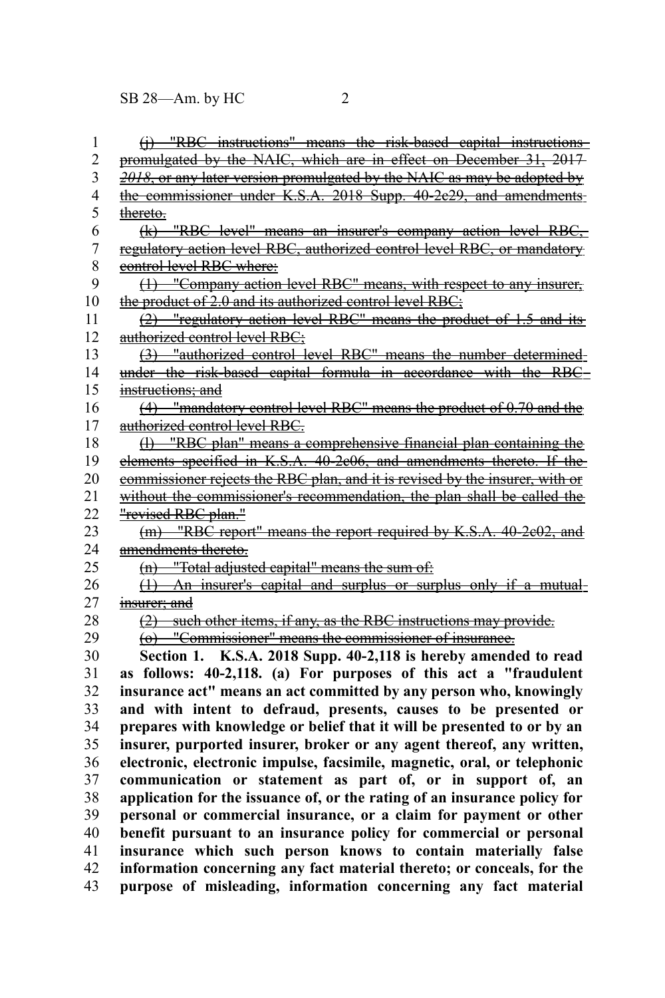| 1              | (i) "RBC instructions" means the risk-based capital instructions             |
|----------------|------------------------------------------------------------------------------|
| $\overline{c}$ | promulgated by the NAIC, which are in effect on December 31, 2017            |
| 3              | 2018, or any later version promulgated by the NAIC as may be adopted by      |
| 4              | the commissioner under K.S.A. 2018 Supp. 40-2e29, and amendments-            |
| 5              | thereto.                                                                     |
| 6              | (k) "RBC level" means an insurer's company action level RBC,                 |
| $\overline{7}$ | regulatory action level RBC, authorized control level RBC, or mandatory      |
| 8              | control level RBC where:                                                     |
| 9              | (1) "Company action level RBC" means, with respect to any insurer,           |
| 10             | the product of 2.0 and its authorized control level RBC;                     |
| 11             | (2) "regulatory action level RBC" means the product of 1.5 and its           |
| 12             | authorized control level RBC;                                                |
| 13             | (3) "authorized control level RBC" means the number determined-              |
| 14             | under the risk-based capital formula in accordance with the RBC              |
| 15             | instructions; and                                                            |
| 16             | (4) "mandatory control level RBC" means the product of 0.70 and the          |
| 17             | authorized control level RBC.                                                |
| 18             | (1) "RBC plan" means a comprehensive financial plan containing the           |
| 19             | elements specified in K.S.A. 40-2e06, and amendments thereto. If the         |
| 20             | commissioner rejects the RBC plan, and it is revised by the insurer, with or |
| 21             | without the commissioner's recommendation, the plan shall be called the      |
| 22             | "revised RBC plan."                                                          |
| 23             | (m) "RBC report" means the report required by K.S.A. 40-2e02, and            |
| 24             | amendments thereto.                                                          |
| 25             | (n) "Total adjusted capital" means the sum of:                               |
| 26             | (1) An insurer's capital and surplus or surplus only if a mutual-            |
| 27             | insurer; and                                                                 |
| 28             | (2) such other items, if any, as the RBC instructions may provide.           |
| 29             | (o) "Commissioner" means the commissioner of insurance.                      |
| 30             | K.S.A. 2018 Supp. 40-2,118 is hereby amended to read<br>Section 1.           |
| 31             | as follows: 40-2,118. (a) For purposes of this act a "fraudulent             |
| 32             | insurance act" means an act committed by any person who, knowingly           |
| 33             | and with intent to defraud, presents, causes to be presented or              |
| 34             | prepares with knowledge or belief that it will be presented to or by an      |
| 35             | insurer, purported insurer, broker or any agent thereof, any written,        |
| 36             | electronic, electronic impulse, facsimile, magnetic, oral, or telephonic     |
| 37             | communication or statement as part of, or in support of, an                  |
| 38             | application for the issuance of, or the rating of an insurance policy for    |
| 39             | personal or commercial insurance, or a claim for payment or other            |
| 40             | benefit pursuant to an insurance policy for commercial or personal           |
| 41             | insurance which such person knows to contain materially false                |
| 42             | information concerning any fact material thereto; or conceals, for the       |
| 43             | purpose of misleading, information concerning any fact material              |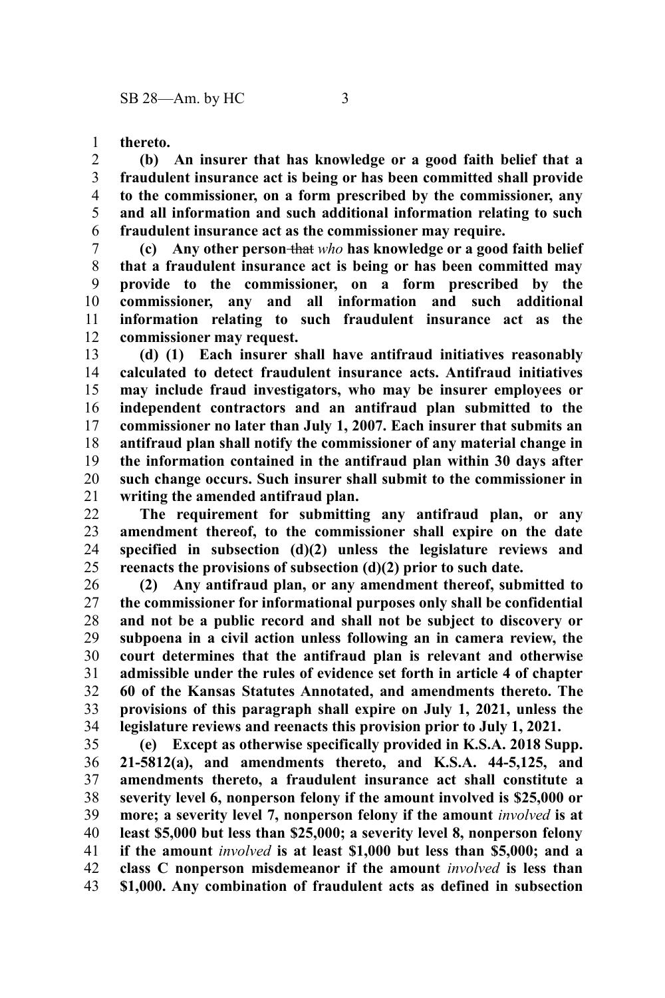**thereto.** 1

**(b) An insurer that has knowledge or a good faith belief that a fraudulent insurance act is being or has been committed shall provide to the commissioner, on a form prescribed by the commissioner, any and all information and such additional information relating to such fraudulent insurance act as the commissioner may require.** 2 3 4 5 6

**(c) Any other person** that *who* **has knowledge or a good faith belief that a fraudulent insurance act is being or has been committed may provide to the commissioner, on a form prescribed by the commissioner, any and all information and such additional information relating to such fraudulent insurance act as the commissioner may request.** 7 8 9 10 11 12

**(d) (1) Each insurer shall have antifraud initiatives reasonably calculated to detect fraudulent insurance acts. Antifraud initiatives may include fraud investigators, who may be insurer employees or independent contractors and an antifraud plan submitted to the commissioner no later than July 1, 2007. Each insurer that submits an antifraud plan shall notify the commissioner of any material change in the information contained in the antifraud plan within 30 days after such change occurs. Such insurer shall submit to the commissioner in writing the amended antifraud plan.** 13 14 15 16 17 18 19 20 21

**The requirement for submitting any antifraud plan, or any amendment thereof, to the commissioner shall expire on the date specified in subsection (d)(2) unless the legislature reviews and reenacts the provisions of subsection (d)(2) prior to such date.** 22 23 24 25

**(2) Any antifraud plan, or any amendment thereof, submitted to the commissioner for informational purposes only shall be confidential and not be a public record and shall not be subject to discovery or subpoena in a civil action unless following an in camera review, the court determines that the antifraud plan is relevant and otherwise admissible under the rules of evidence set forth in article 4 of chapter 60 of the Kansas Statutes Annotated, and amendments thereto. The provisions of this paragraph shall expire on July 1, 2021, unless the legislature reviews and reenacts this provision prior to July 1, 2021.** 26 27 28 29 30 31 32 33 34

**(e) Except as otherwise specifically provided in K.S.A. 2018 Supp. 21-5812(a), and amendments thereto, and K.S.A. 44-5,125, and amendments thereto, a fraudulent insurance act shall constitute a severity level 6, nonperson felony if the amount involved is \$25,000 or more; a severity level 7, nonperson felony if the amount** *involved* **is at least \$5,000 but less than \$25,000; a severity level 8, nonperson felony if the amount** *involved* **is at least \$1,000 but less than \$5,000; and a class C nonperson misdemeanor if the amount** *involved* **is less than \$1,000. Any combination of fraudulent acts as defined in subsection** 35 36 37 38 39 40 41 42 43